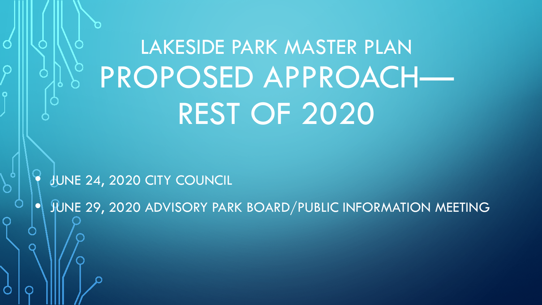LAKESIDE PARK MASTER PLAN PROPOSED APPROACH— REST OF 2020

• JUNE 24, 2020 CITY COUNCIL

FUNE 29, 2020 ADVISORY PARK BOARD/PUBLIC INFORMATION MEETING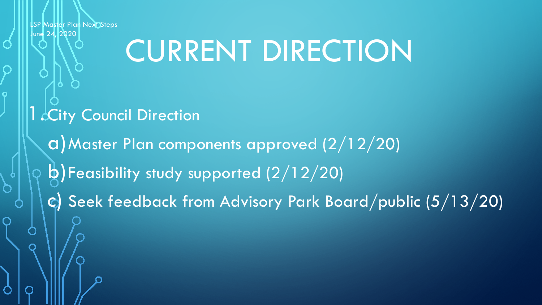### CURRENT DIRECTION

- 1 City Council Direction
	- a)Master Plan components approved (2/12/20) b)Feasibility study supported (2/12/20)
	- c) Seek feedback from Advisory Park Board/public (5/13/20)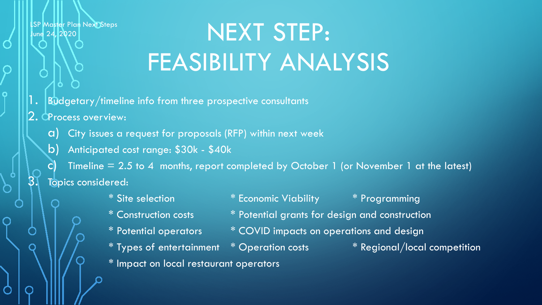### NEXT STEP: FEASIBILITY ANALYSIS

- $\mathsf{l}$  .  $\mid$  Budgetary/timeline info from three prospective consultants
- $2.$  OP rocess overview:
	- City issues a request for proposals (RFP) within next week
	- b) Anticipated cost range: \$30k \$40k

c) Timeline = 2.5 to 4 months, report completed by October 1 (or November 1 at the latest) Topics considered:

> \* Site selection \* Economic Viability \* Programming \* Construction costs \* Potential grants for design and construction \* Potential operators \* COVID impacts on operations and design  $*$  Types of entertainment  $*$  Operation costs  $*$  Regional/local competition \* Impact on local restaurant operators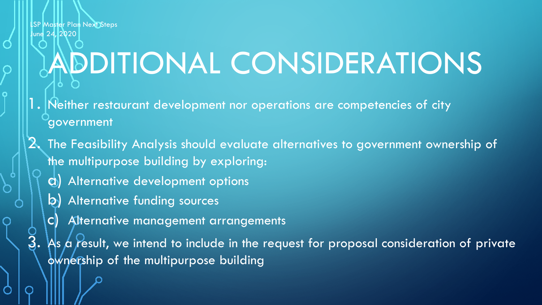# ADDITIONAL CONSIDERATIONS

- 1. Neither restaurant development nor operations are competencies of city government
- 2. The Feasibility Analysis should evaluate alternatives to government ownership of the multipurpose building by exploring:
	- a) Alternative development options
	- b) Alternative funding sources
	- c) Alternative management arrangements
	- As a result, we intend to include in the request for proposal consideration of private ownership of the multipurpose building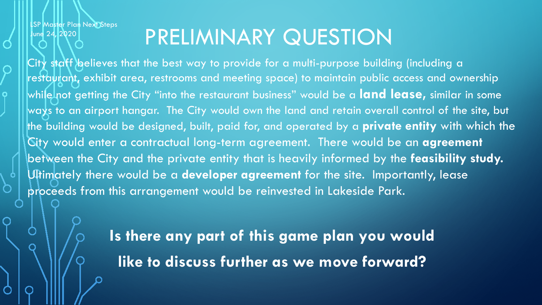#### PRELIMINARY QUESTION

City staff believes that the best way to provide for a multi-purpose building (including a resta $\psi$ rant, exhibit area, restrooms and meeting space) to maintain public access and ownership while not getting the City "into the restaurant business" would be a **land lease,** similar in some ways to an airport hangar. The City would own the land and retain overall control of the site, but the building would be designed, built, paid for, and operated by a **private entity** with which the City would enter a contractual long-term agreement. There would be an **agreement**  between the City and the private entity that is heavily informed by the **feasibility study.**  Ultimately there would be a **developer agreement** for the site. Importantly, lease proceeds from this arrangement would be reinvested in Lakeside Park.

> **Is there any part of this game plan you would like to discuss further as we move forward?**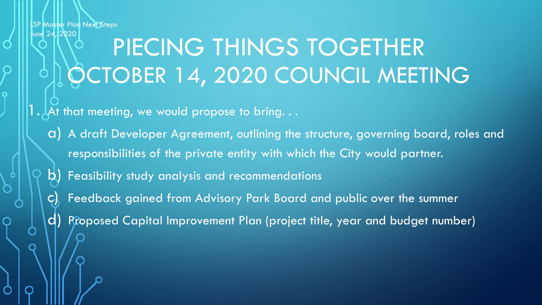#### PIECING THINGS TOGETHER OCTOBER 14, 2020 COUNCIL MEETING

1.  $\downarrow$  At that meeting, we would propose to bring.  $\dots$ 

- a) A draft Developer Agreement, outlining the structure, governing board, roles and responsibilities of the private entity with which the City would partner.
- b) Feasibility study analysis and recommendations
- Feedback gained from Advisory Park Board and public over the summer
- d) Proposed Capital Improvement Plan (project title, year and budget number)